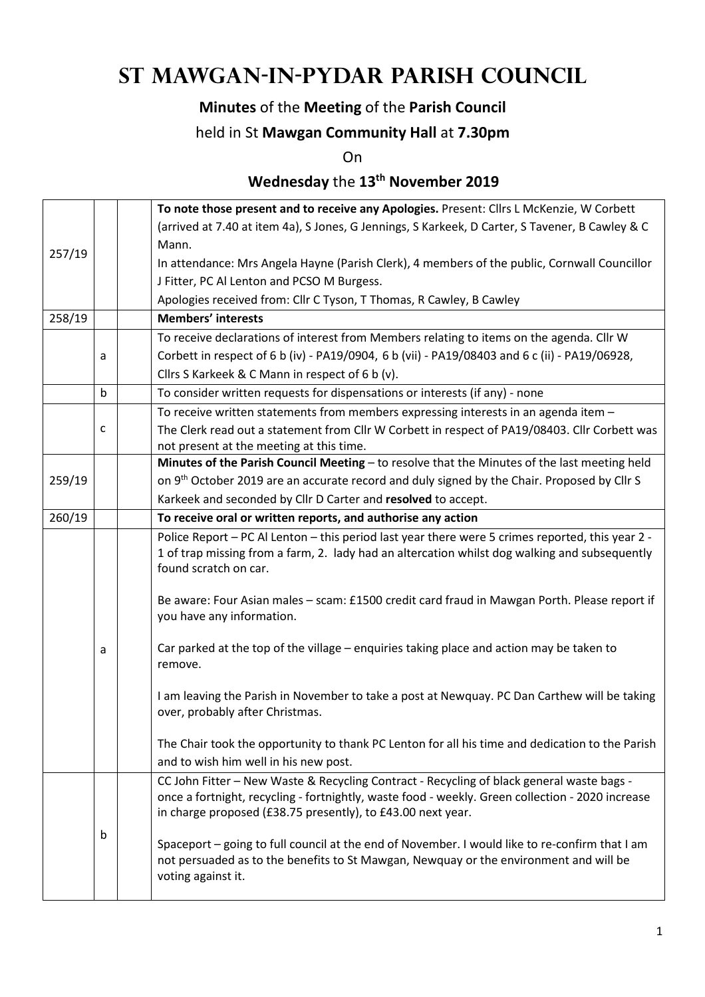# **St Mawgan-in-Pydar Parish Council**

## **Minutes** of the **Meeting** of the **Parish Council**

### held in St **Mawgan Community Hall** at **7.30pm**

On

## **Wednesday** the **13th November 2019**

|        |   | To note those present and to receive any Apologies. Present: Cllrs L McKenzie, W Corbett                                                                                                                                                                     |  |  |  |
|--------|---|--------------------------------------------------------------------------------------------------------------------------------------------------------------------------------------------------------------------------------------------------------------|--|--|--|
|        |   | (arrived at 7.40 at item 4a), S Jones, G Jennings, S Karkeek, D Carter, S Tavener, B Cawley & C                                                                                                                                                              |  |  |  |
|        |   | Mann.                                                                                                                                                                                                                                                        |  |  |  |
| 257/19 |   | In attendance: Mrs Angela Hayne (Parish Clerk), 4 members of the public, Cornwall Councillor                                                                                                                                                                 |  |  |  |
|        |   | J Fitter, PC Al Lenton and PCSO M Burgess.                                                                                                                                                                                                                   |  |  |  |
|        |   | Apologies received from: Cllr C Tyson, T Thomas, R Cawley, B Cawley                                                                                                                                                                                          |  |  |  |
| 258/19 |   | <b>Members' interests</b>                                                                                                                                                                                                                                    |  |  |  |
|        |   | To receive declarations of interest from Members relating to items on the agenda. Cllr W                                                                                                                                                                     |  |  |  |
|        | а | Corbett in respect of 6 b (iv) - PA19/0904, 6 b (vii) - PA19/08403 and 6 c (ii) - PA19/06928,                                                                                                                                                                |  |  |  |
|        |   | Cllrs S Karkeek & C Mann in respect of 6 b (v).                                                                                                                                                                                                              |  |  |  |
|        | b | To consider written requests for dispensations or interests (if any) - none                                                                                                                                                                                  |  |  |  |
|        |   | To receive written statements from members expressing interests in an agenda item -                                                                                                                                                                          |  |  |  |
|        | c | The Clerk read out a statement from Cllr W Corbett in respect of PA19/08403. Cllr Corbett was                                                                                                                                                                |  |  |  |
|        |   | not present at the meeting at this time.                                                                                                                                                                                                                     |  |  |  |
|        |   | Minutes of the Parish Council Meeting - to resolve that the Minutes of the last meeting held                                                                                                                                                                 |  |  |  |
| 259/19 |   | on 9 <sup>th</sup> October 2019 are an accurate record and duly signed by the Chair. Proposed by Cllr S                                                                                                                                                      |  |  |  |
|        |   | Karkeek and seconded by Cllr D Carter and resolved to accept.                                                                                                                                                                                                |  |  |  |
| 260/19 |   | To receive oral or written reports, and authorise any action                                                                                                                                                                                                 |  |  |  |
|        |   | Police Report - PC Al Lenton - this period last year there were 5 crimes reported, this year 2 -<br>1 of trap missing from a farm, 2. lady had an altercation whilst dog walking and subsequently<br>found scratch on car.                                   |  |  |  |
|        |   | Be aware: Four Asian males - scam: £1500 credit card fraud in Mawgan Porth. Please report if<br>you have any information.                                                                                                                                    |  |  |  |
|        | a | Car parked at the top of the village - enquiries taking place and action may be taken to<br>remove.                                                                                                                                                          |  |  |  |
|        |   | I am leaving the Parish in November to take a post at Newquay. PC Dan Carthew will be taking<br>over, probably after Christmas.                                                                                                                              |  |  |  |
|        |   | The Chair took the opportunity to thank PC Lenton for all his time and dedication to the Parish<br>and to wish him well in his new post.                                                                                                                     |  |  |  |
|        |   | CC John Fitter - New Waste & Recycling Contract - Recycling of black general waste bags -<br>once a fortnight, recycling - fortnightly, waste food - weekly. Green collection - 2020 increase<br>in charge proposed (£38.75 presently), to £43.00 next year. |  |  |  |
|        | b | Spaceport - going to full council at the end of November. I would like to re-confirm that I am<br>not persuaded as to the benefits to St Mawgan, Newquay or the environment and will be<br>voting against it.                                                |  |  |  |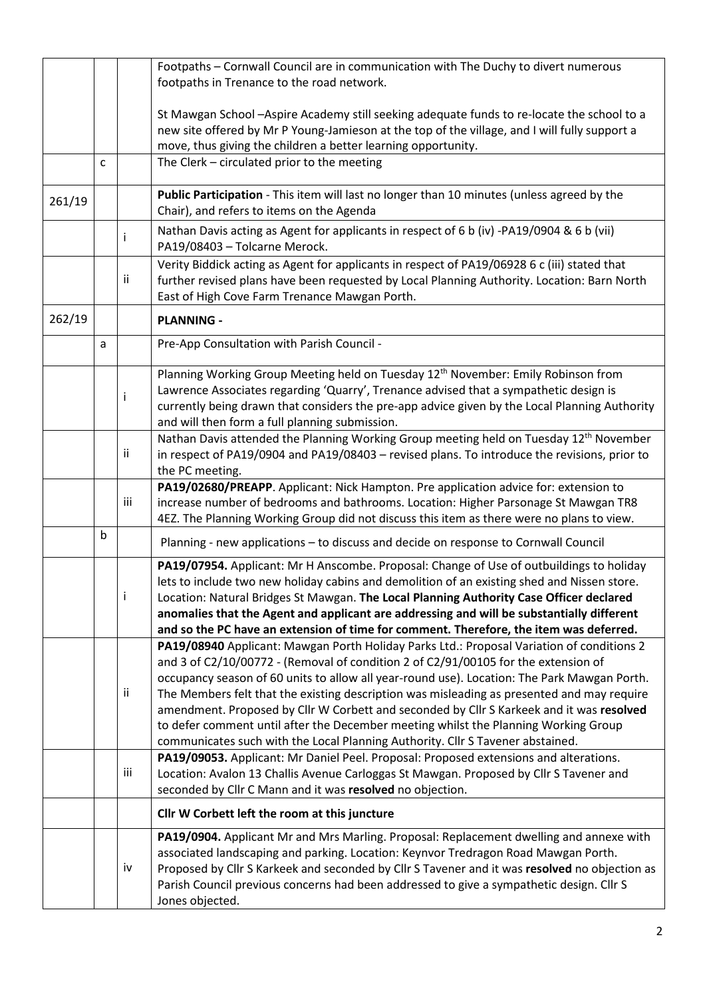|        |   |     | Footpaths - Cornwall Council are in communication with The Duchy to divert numerous<br>footpaths in Trenance to the road network.                                                                                                                                                                                                                                                                                                                                                                                                                                                                                                                 |  |  |  |
|--------|---|-----|---------------------------------------------------------------------------------------------------------------------------------------------------------------------------------------------------------------------------------------------------------------------------------------------------------------------------------------------------------------------------------------------------------------------------------------------------------------------------------------------------------------------------------------------------------------------------------------------------------------------------------------------------|--|--|--|
|        |   |     | St Mawgan School - Aspire Academy still seeking adequate funds to re-locate the school to a<br>new site offered by Mr P Young-Jamieson at the top of the village, and I will fully support a<br>move, thus giving the children a better learning opportunity.                                                                                                                                                                                                                                                                                                                                                                                     |  |  |  |
|        | C |     | The Clerk - circulated prior to the meeting                                                                                                                                                                                                                                                                                                                                                                                                                                                                                                                                                                                                       |  |  |  |
| 261/19 |   |     | Public Participation - This item will last no longer than 10 minutes (unless agreed by the<br>Chair), and refers to items on the Agenda                                                                                                                                                                                                                                                                                                                                                                                                                                                                                                           |  |  |  |
|        |   |     | Nathan Davis acting as Agent for applicants in respect of 6 b (iv) -PA19/0904 & 6 b (vii)<br>PA19/08403 - Tolcarne Merock.                                                                                                                                                                                                                                                                                                                                                                                                                                                                                                                        |  |  |  |
|        |   | ij. | Verity Biddick acting as Agent for applicants in respect of PA19/06928 6 c (iii) stated that<br>further revised plans have been requested by Local Planning Authority. Location: Barn North<br>East of High Cove Farm Trenance Mawgan Porth.                                                                                                                                                                                                                                                                                                                                                                                                      |  |  |  |
| 262/19 |   |     | <b>PLANNING -</b>                                                                                                                                                                                                                                                                                                                                                                                                                                                                                                                                                                                                                                 |  |  |  |
|        | a |     | Pre-App Consultation with Parish Council -                                                                                                                                                                                                                                                                                                                                                                                                                                                                                                                                                                                                        |  |  |  |
|        |   | i   | Planning Working Group Meeting held on Tuesday 12 <sup>th</sup> November: Emily Robinson from<br>Lawrence Associates regarding 'Quarry', Trenance advised that a sympathetic design is<br>currently being drawn that considers the pre-app advice given by the Local Planning Authority<br>and will then form a full planning submission.                                                                                                                                                                                                                                                                                                         |  |  |  |
|        |   | ii. | Nathan Davis attended the Planning Working Group meeting held on Tuesday 12 <sup>th</sup> November<br>in respect of PA19/0904 and PA19/08403 - revised plans. To introduce the revisions, prior to<br>the PC meeting.                                                                                                                                                                                                                                                                                                                                                                                                                             |  |  |  |
|        |   | iii | PA19/02680/PREAPP. Applicant: Nick Hampton. Pre application advice for: extension to<br>increase number of bedrooms and bathrooms. Location: Higher Parsonage St Mawgan TR8<br>4EZ. The Planning Working Group did not discuss this item as there were no plans to view.                                                                                                                                                                                                                                                                                                                                                                          |  |  |  |
|        | b |     | Planning - new applications - to discuss and decide on response to Cornwall Council                                                                                                                                                                                                                                                                                                                                                                                                                                                                                                                                                               |  |  |  |
|        |   | i   | PA19/07954. Applicant: Mr H Anscombe. Proposal: Change of Use of outbuildings to holiday<br>lets to include two new holiday cabins and demolition of an existing shed and Nissen store.<br>Location: Natural Bridges St Mawgan. The Local Planning Authority Case Officer declared<br>anomalies that the Agent and applicant are addressing and will be substantially different<br>and so the PC have an extension of time for comment. Therefore, the item was deferred.                                                                                                                                                                         |  |  |  |
|        |   | ij. | PA19/08940 Applicant: Mawgan Porth Holiday Parks Ltd.: Proposal Variation of conditions 2<br>and 3 of C2/10/00772 - (Removal of condition 2 of C2/91/00105 for the extension of<br>occupancy season of 60 units to allow all year-round use). Location: The Park Mawgan Porth.<br>The Members felt that the existing description was misleading as presented and may require<br>amendment. Proposed by Cllr W Corbett and seconded by Cllr S Karkeek and it was resolved<br>to defer comment until after the December meeting whilst the Planning Working Group<br>communicates such with the Local Planning Authority. Cllr S Tavener abstained. |  |  |  |
|        |   | iii | PA19/09053. Applicant: Mr Daniel Peel. Proposal: Proposed extensions and alterations.<br>Location: Avalon 13 Challis Avenue Carloggas St Mawgan. Proposed by Cllr S Tavener and<br>seconded by Cllr C Mann and it was resolved no objection.                                                                                                                                                                                                                                                                                                                                                                                                      |  |  |  |
|        |   |     | Cllr W Corbett left the room at this juncture                                                                                                                                                                                                                                                                                                                                                                                                                                                                                                                                                                                                     |  |  |  |
|        |   | iv  | PA19/0904. Applicant Mr and Mrs Marling. Proposal: Replacement dwelling and annexe with<br>associated landscaping and parking. Location: Keynvor Tredragon Road Mawgan Porth.<br>Proposed by Cllr S Karkeek and seconded by Cllr S Tavener and it was resolved no objection as<br>Parish Council previous concerns had been addressed to give a sympathetic design. Cllr S<br>Jones objected.                                                                                                                                                                                                                                                     |  |  |  |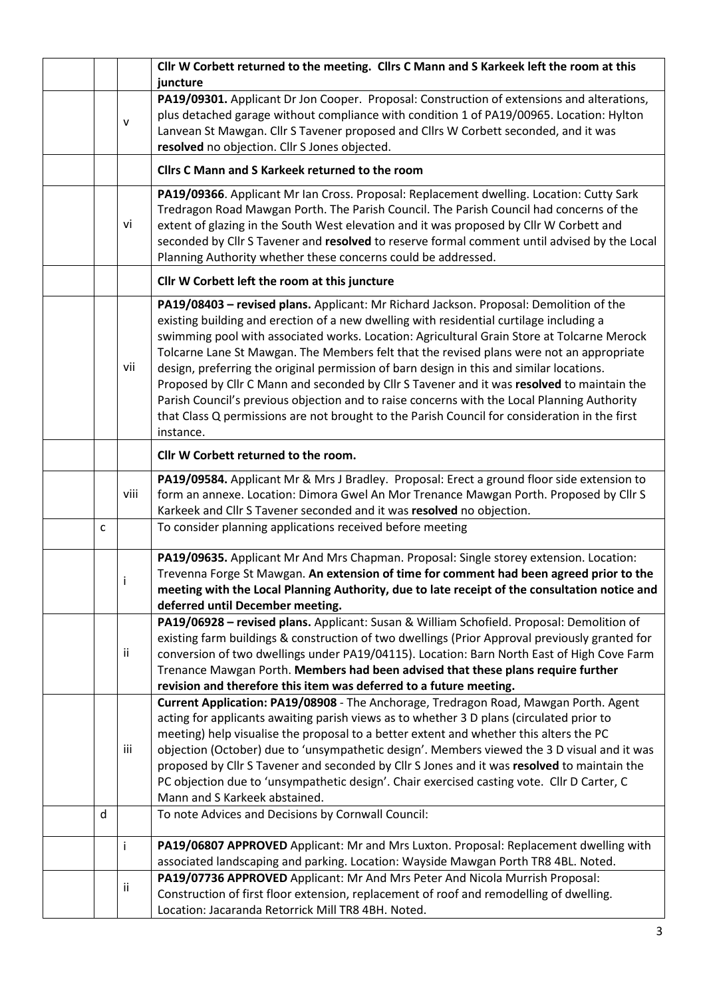|   |              | Cllr W Corbett returned to the meeting. Cllrs C Mann and S Karkeek left the room at this<br>juncture                                                                                                                                                                                                                                                                                                                                                                                                                                                                                                                                                                                                                                                                               |  |  |  |
|---|--------------|------------------------------------------------------------------------------------------------------------------------------------------------------------------------------------------------------------------------------------------------------------------------------------------------------------------------------------------------------------------------------------------------------------------------------------------------------------------------------------------------------------------------------------------------------------------------------------------------------------------------------------------------------------------------------------------------------------------------------------------------------------------------------------|--|--|--|
|   | $\mathsf{V}$ | PA19/09301. Applicant Dr Jon Cooper. Proposal: Construction of extensions and alterations,<br>plus detached garage without compliance with condition 1 of PA19/00965. Location: Hylton<br>Lanvean St Mawgan. Cllr S Tavener proposed and Cllrs W Corbett seconded, and it was<br>resolved no objection. Cllr S Jones objected.                                                                                                                                                                                                                                                                                                                                                                                                                                                     |  |  |  |
|   |              | <b>Clirs C Mann and S Karkeek returned to the room</b>                                                                                                                                                                                                                                                                                                                                                                                                                                                                                                                                                                                                                                                                                                                             |  |  |  |
|   | vi           | PA19/09366. Applicant Mr Ian Cross. Proposal: Replacement dwelling. Location: Cutty Sark<br>Tredragon Road Mawgan Porth. The Parish Council. The Parish Council had concerns of the<br>extent of glazing in the South West elevation and it was proposed by Cllr W Corbett and<br>seconded by Cllr S Tavener and resolved to reserve formal comment until advised by the Local<br>Planning Authority whether these concerns could be addressed.                                                                                                                                                                                                                                                                                                                                    |  |  |  |
|   |              | Cllr W Corbett left the room at this juncture                                                                                                                                                                                                                                                                                                                                                                                                                                                                                                                                                                                                                                                                                                                                      |  |  |  |
|   | vii          | PA19/08403 - revised plans. Applicant: Mr Richard Jackson. Proposal: Demolition of the<br>existing building and erection of a new dwelling with residential curtilage including a<br>swimming pool with associated works. Location: Agricultural Grain Store at Tolcarne Merock<br>Tolcarne Lane St Mawgan. The Members felt that the revised plans were not an appropriate<br>design, preferring the original permission of barn design in this and similar locations.<br>Proposed by Cllr C Mann and seconded by Cllr S Tavener and it was resolved to maintain the<br>Parish Council's previous objection and to raise concerns with the Local Planning Authority<br>that Class Q permissions are not brought to the Parish Council for consideration in the first<br>instance. |  |  |  |
|   |              | Cllr W Corbett returned to the room.                                                                                                                                                                                                                                                                                                                                                                                                                                                                                                                                                                                                                                                                                                                                               |  |  |  |
|   | viii         | PA19/09584. Applicant Mr & Mrs J Bradley. Proposal: Erect a ground floor side extension to<br>form an annexe. Location: Dimora Gwel An Mor Trenance Mawgan Porth. Proposed by Cllr S<br>Karkeek and Cllr S Tavener seconded and it was resolved no objection.                                                                                                                                                                                                                                                                                                                                                                                                                                                                                                                      |  |  |  |
| C |              | To consider planning applications received before meeting                                                                                                                                                                                                                                                                                                                                                                                                                                                                                                                                                                                                                                                                                                                          |  |  |  |
|   | Ť            | PA19/09635. Applicant Mr And Mrs Chapman. Proposal: Single storey extension. Location:<br>Trevenna Forge St Mawgan. An extension of time for comment had been agreed prior to the<br>meeting with the Local Planning Authority, due to late receipt of the consultation notice and<br>deferred until December meeting.                                                                                                                                                                                                                                                                                                                                                                                                                                                             |  |  |  |
|   | ii           | PA19/06928 - revised plans. Applicant: Susan & William Schofield. Proposal: Demolition of<br>existing farm buildings & construction of two dwellings (Prior Approval previously granted for<br>conversion of two dwellings under PA19/04115). Location: Barn North East of High Cove Farm<br>Trenance Mawgan Porth. Members had been advised that these plans require further<br>revision and therefore this item was deferred to a future meeting.                                                                                                                                                                                                                                                                                                                                |  |  |  |
|   | iii          | Current Application: PA19/08908 - The Anchorage, Tredragon Road, Mawgan Porth. Agent<br>acting for applicants awaiting parish views as to whether 3 D plans (circulated prior to<br>meeting) help visualise the proposal to a better extent and whether this alters the PC<br>objection (October) due to 'unsympathetic design'. Members viewed the 3 D visual and it was<br>proposed by Cllr S Tavener and seconded by Cllr S Jones and it was resolved to maintain the<br>PC objection due to 'unsympathetic design'. Chair exercised casting vote. Cllr D Carter, C<br>Mann and S Karkeek abstained.                                                                                                                                                                            |  |  |  |
| d |              | To note Advices and Decisions by Cornwall Council:                                                                                                                                                                                                                                                                                                                                                                                                                                                                                                                                                                                                                                                                                                                                 |  |  |  |
|   | Ť            | PA19/06807 APPROVED Applicant: Mr and Mrs Luxton. Proposal: Replacement dwelling with<br>associated landscaping and parking. Location: Wayside Mawgan Porth TR8 4BL. Noted.                                                                                                                                                                                                                                                                                                                                                                                                                                                                                                                                                                                                        |  |  |  |
|   | ii.          | PA19/07736 APPROVED Applicant: Mr And Mrs Peter And Nicola Murrish Proposal:<br>Construction of first floor extension, replacement of roof and remodelling of dwelling.<br>Location: Jacaranda Retorrick Mill TR8 4BH. Noted.                                                                                                                                                                                                                                                                                                                                                                                                                                                                                                                                                      |  |  |  |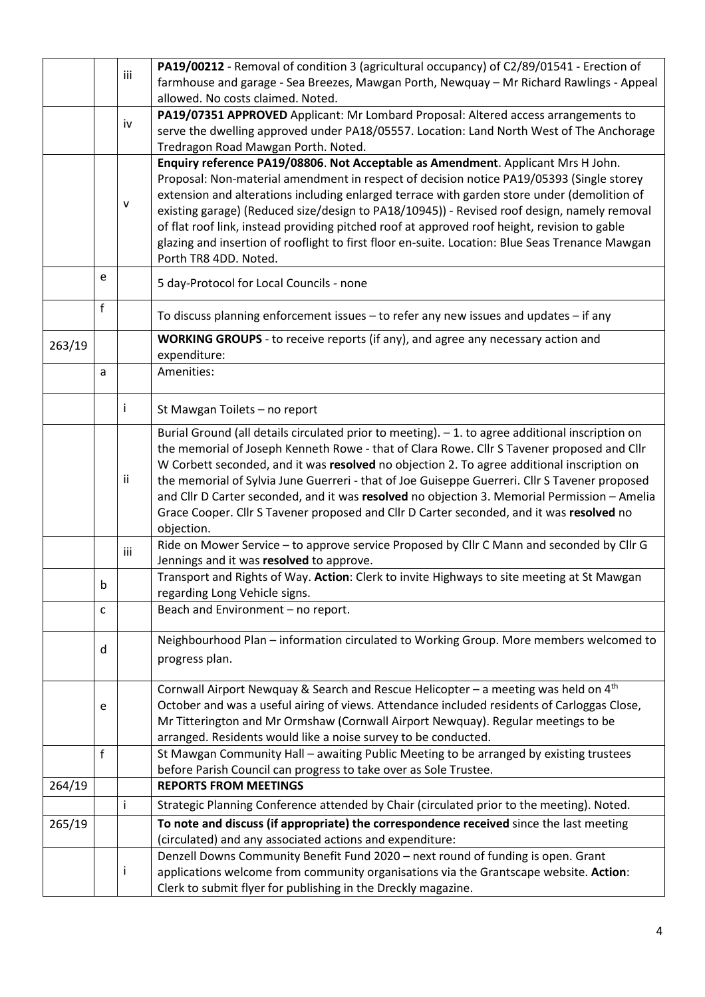|        | iii          |     | PA19/00212 - Removal of condition 3 (agricultural occupancy) of C2/89/01541 - Erection of                                                                                                   |
|--------|--------------|-----|---------------------------------------------------------------------------------------------------------------------------------------------------------------------------------------------|
|        |              |     | farmhouse and garage - Sea Breezes, Mawgan Porth, Newquay - Mr Richard Rawlings - Appeal<br>allowed. No costs claimed. Noted.                                                               |
|        |              | iv  | PA19/07351 APPROVED Applicant: Mr Lombard Proposal: Altered access arrangements to                                                                                                          |
|        |              |     | serve the dwelling approved under PA18/05557. Location: Land North West of The Anchorage<br>Tredragon Road Mawgan Porth. Noted.                                                             |
|        |              |     | Enquiry reference PA19/08806. Not Acceptable as Amendment. Applicant Mrs H John.                                                                                                            |
|        |              |     | Proposal: Non-material amendment in respect of decision notice PA19/05393 (Single storey<br>extension and alterations including enlarged terrace with garden store under (demolition of     |
|        |              | v   | existing garage) (Reduced size/design to PA18/10945)) - Revised roof design, namely removal                                                                                                 |
|        |              |     | of flat roof link, instead providing pitched roof at approved roof height, revision to gable                                                                                                |
|        |              |     | glazing and insertion of rooflight to first floor en-suite. Location: Blue Seas Trenance Mawgan                                                                                             |
|        |              |     | Porth TR8 4DD. Noted.                                                                                                                                                                       |
|        | e            |     | 5 day-Protocol for Local Councils - none                                                                                                                                                    |
|        | $\mathsf{f}$ |     | To discuss planning enforcement issues - to refer any new issues and updates - if any                                                                                                       |
| 263/19 |              |     | <b>WORKING GROUPS</b> - to receive reports (if any), and agree any necessary action and                                                                                                     |
|        | a            |     | expenditure:<br>Amenities:                                                                                                                                                                  |
|        |              |     |                                                                                                                                                                                             |
|        |              | Ť.  | St Mawgan Toilets - no report                                                                                                                                                               |
|        |              |     | Burial Ground (all details circulated prior to meeting). - 1. to agree additional inscription on                                                                                            |
|        |              |     | the memorial of Joseph Kenneth Rowe - that of Clara Rowe. Cllr S Tavener proposed and Cllr                                                                                                  |
|        |              | ii. | W Corbett seconded, and it was resolved no objection 2. To agree additional inscription on<br>the memorial of Sylvia June Guerreri - that of Joe Guiseppe Guerreri. Cllr S Tavener proposed |
|        |              |     | and Cllr D Carter seconded, and it was resolved no objection 3. Memorial Permission - Amelia                                                                                                |
|        |              |     | Grace Cooper. Cllr S Tavener proposed and Cllr D Carter seconded, and it was resolved no                                                                                                    |
|        |              |     | objection.                                                                                                                                                                                  |
|        |              | iii | Ride on Mower Service - to approve service Proposed by Cllr C Mann and seconded by Cllr G<br>Jennings and it was resolved to approve.                                                       |
|        |              |     | Transport and Rights of Way. Action: Clerk to invite Highways to site meeting at St Mawgan                                                                                                  |
|        | b            |     | regarding Long Vehicle signs.                                                                                                                                                               |
|        | c            |     | Beach and Environment - no report.                                                                                                                                                          |
|        | d            |     | Neighbourhood Plan - information circulated to Working Group. More members welcomed to                                                                                                      |
|        |              |     | progress plan.                                                                                                                                                                              |
|        |              |     | Cornwall Airport Newquay & Search and Rescue Helicopter - a meeting was held on 4th                                                                                                         |
|        | e            |     | October and was a useful airing of views. Attendance included residents of Carloggas Close,                                                                                                 |
|        |              |     | Mr Titterington and Mr Ormshaw (Cornwall Airport Newquay). Regular meetings to be<br>arranged. Residents would like a noise survey to be conducted.                                         |
|        | f            |     | St Mawgan Community Hall - awaiting Public Meeting to be arranged by existing trustees                                                                                                      |
|        |              |     | before Parish Council can progress to take over as Sole Trustee.                                                                                                                            |
| 264/19 |              |     | <b>REPORTS FROM MEETINGS</b>                                                                                                                                                                |
|        |              | j.  | Strategic Planning Conference attended by Chair (circulated prior to the meeting). Noted.                                                                                                   |
| 265/19 |              |     | To note and discuss (if appropriate) the correspondence received since the last meeting                                                                                                     |
|        |              |     | (circulated) and any associated actions and expenditure:                                                                                                                                    |
|        |              | Ť   | Denzell Downs Community Benefit Fund 2020 - next round of funding is open. Grant<br>applications welcome from community organisations via the Grantscape website. Action:                   |
|        |              |     | Clerk to submit flyer for publishing in the Dreckly magazine.                                                                                                                               |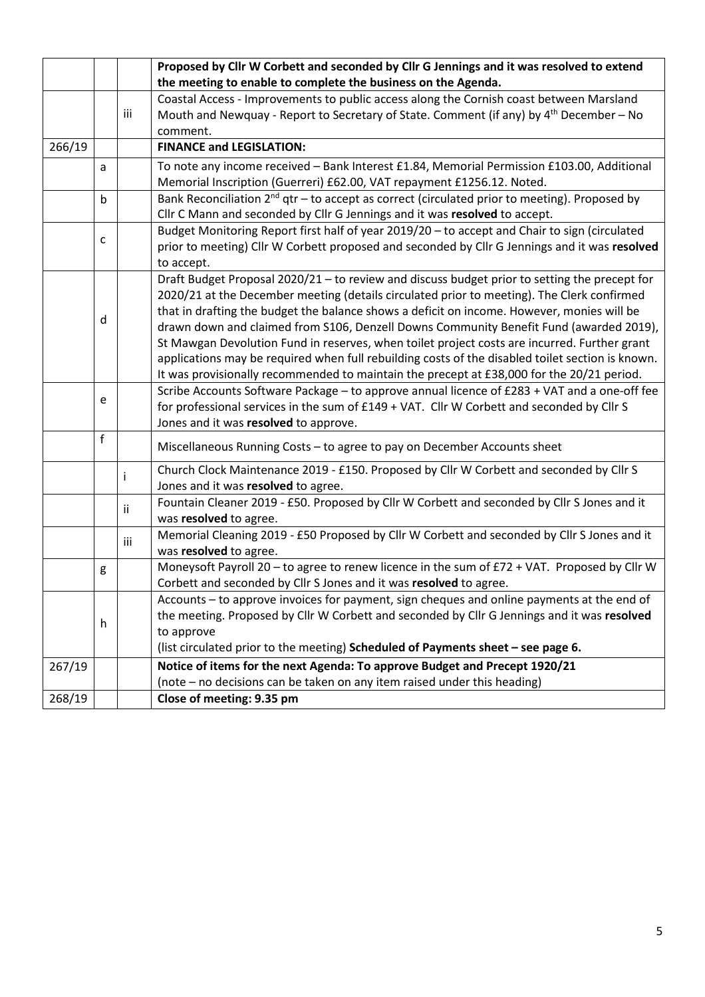|                                                                            |   |     | Proposed by Cllr W Corbett and seconded by Cllr G Jennings and it was resolved to extend            |  |  |
|----------------------------------------------------------------------------|---|-----|-----------------------------------------------------------------------------------------------------|--|--|
|                                                                            |   |     | the meeting to enable to complete the business on the Agenda.                                       |  |  |
|                                                                            |   |     | Coastal Access - Improvements to public access along the Cornish coast between Marsland             |  |  |
|                                                                            |   | iii | Mouth and Newquay - Report to Secretary of State. Comment (if any) by 4 <sup>th</sup> December - No |  |  |
|                                                                            |   |     | comment.                                                                                            |  |  |
| 266/19                                                                     |   |     | <b>FINANCE and LEGISLATION:</b>                                                                     |  |  |
|                                                                            | a |     | To note any income received - Bank Interest £1.84, Memorial Permission £103.00, Additional          |  |  |
|                                                                            |   |     | Memorial Inscription (Guerreri) £62.00, VAT repayment £1256.12. Noted.                              |  |  |
|                                                                            | b |     | Bank Reconciliation $2^{nd}$ qtr – to accept as correct (circulated prior to meeting). Proposed by  |  |  |
| Cllr C Mann and seconded by Cllr G Jennings and it was resolved to accept. |   |     |                                                                                                     |  |  |
|                                                                            |   |     | Budget Monitoring Report first half of year 2019/20 - to accept and Chair to sign (circulated       |  |  |
|                                                                            | c |     | prior to meeting) Cllr W Corbett proposed and seconded by Cllr G Jennings and it was resolved       |  |  |
|                                                                            |   |     | to accept.                                                                                          |  |  |
|                                                                            |   |     | Draft Budget Proposal 2020/21 - to review and discuss budget prior to setting the precept for       |  |  |
|                                                                            |   |     | 2020/21 at the December meeting (details circulated prior to meeting). The Clerk confirmed          |  |  |
|                                                                            |   |     | that in drafting the budget the balance shows a deficit on income. However, monies will be          |  |  |
|                                                                            | d |     | drawn down and claimed from S106, Denzell Downs Community Benefit Fund (awarded 2019),              |  |  |
|                                                                            |   |     | St Mawgan Devolution Fund in reserves, when toilet project costs are incurred. Further grant        |  |  |
|                                                                            |   |     | applications may be required when full rebuilding costs of the disabled toilet section is known.    |  |  |
|                                                                            |   |     | It was provisionally recommended to maintain the precept at £38,000 for the 20/21 period.           |  |  |
|                                                                            |   |     | Scribe Accounts Software Package - to approve annual licence of £283 + VAT and a one-off fee        |  |  |
|                                                                            | e |     | for professional services in the sum of £149 + VAT. Cllr W Corbett and seconded by Cllr S           |  |  |
|                                                                            |   |     | Jones and it was resolved to approve.                                                               |  |  |
|                                                                            | f |     | Miscellaneous Running Costs - to agree to pay on December Accounts sheet                            |  |  |
|                                                                            |   |     |                                                                                                     |  |  |
|                                                                            |   | ÷   | Church Clock Maintenance 2019 - £150. Proposed by Cllr W Corbett and seconded by Cllr S             |  |  |
|                                                                            |   |     | Jones and it was resolved to agree.                                                                 |  |  |
|                                                                            |   | ii. | Fountain Cleaner 2019 - £50. Proposed by Cllr W Corbett and seconded by Cllr S Jones and it         |  |  |
|                                                                            |   |     | was resolved to agree.                                                                              |  |  |
|                                                                            |   | iii | Memorial Cleaning 2019 - £50 Proposed by Cllr W Corbett and seconded by Cllr S Jones and it         |  |  |
|                                                                            |   |     | was resolved to agree.                                                                              |  |  |
|                                                                            | g |     | Moneysoft Payroll 20 - to agree to renew licence in the sum of £72 + VAT. Proposed by Cllr W        |  |  |
|                                                                            |   |     | Corbett and seconded by Cllr S Jones and it was resolved to agree.                                  |  |  |
|                                                                            |   |     | Accounts – to approve invoices for payment, sign cheques and online payments at the end of          |  |  |
|                                                                            | h |     | the meeting. Proposed by Cllr W Corbett and seconded by Cllr G Jennings and it was resolved         |  |  |
|                                                                            |   |     | to approve                                                                                          |  |  |
|                                                                            |   |     | (list circulated prior to the meeting) Scheduled of Payments sheet - see page 6.                    |  |  |
| 267/19                                                                     |   |     | Notice of items for the next Agenda: To approve Budget and Precept 1920/21                          |  |  |
|                                                                            |   |     | (note - no decisions can be taken on any item raised under this heading)                            |  |  |
| 268/19                                                                     |   |     | Close of meeting: 9.35 pm                                                                           |  |  |